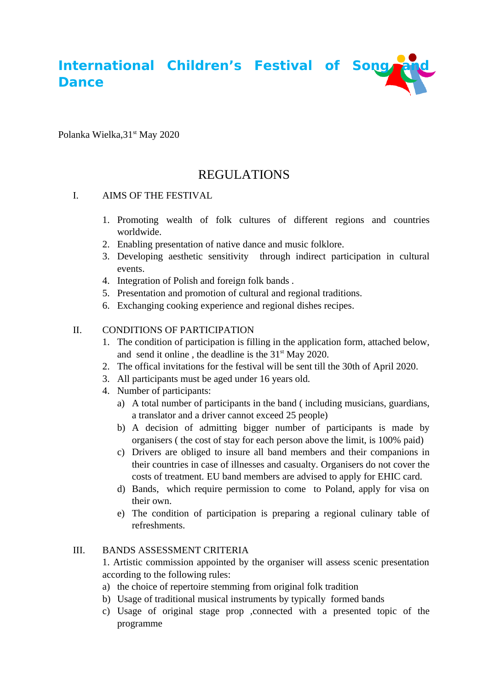**International Children's Festival of Song and Song Dance**

Polanka Wielka, 31<sup>st</sup> May 2020

# REGULATIONS

### I. AIMS OF THE FESTIVAL

- 1. Promoting wealth of folk cultures of different regions and countries worldwide.
- 2. Enabling presentation of native dance and music folklore.
- 3. Developing aesthetic sensitivity through indirect participation in cultural events.
- 4. Integration of Polish and foreign folk bands .
- 5. Presentation and promotion of cultural and regional traditions.
- 6. Exchanging cooking experience and regional dishes recipes.

### II. CONDITIONS OF PARTICIPATION

- 1. The condition of participation is filling in the application form, attached below, and send it online, the deadline is the  $31<sup>st</sup>$  May 2020.
- 2. The offical invitations for the festival will be sent till the 30th of April 2020.
- 3. All participants must be aged under 16 years old.
- 4. Number of participants:
	- a) A total number of participants in the band ( including musicians, guardians, a translator and a driver cannot exceed 25 people)
	- b) A decision of admitting bigger number of participants is made by organisers ( the cost of stay for each person above the limit, is 100% paid)
	- c) Drivers are obliged to insure all band members and their companions in their countries in case of illnesses and casualty. Organisers do not cover the costs of treatment. EU band members are advised to apply for EHIC card.
	- d) Bands, which require permission to come to Poland, apply for visa on their own.
	- e) The condition of participation is preparing a regional culinary table of refreshments.

#### III. BANDS ASSESSMENT CRITERIA

1. Artistic commission appointed by the organiser will assess scenic presentation according to the following rules:

- a) the choice of repertoire stemming from original folk tradition
- b) Usage of traditional musical instruments by typically formed bands
- c) Usage of original stage prop ,connected with a presented topic of the programme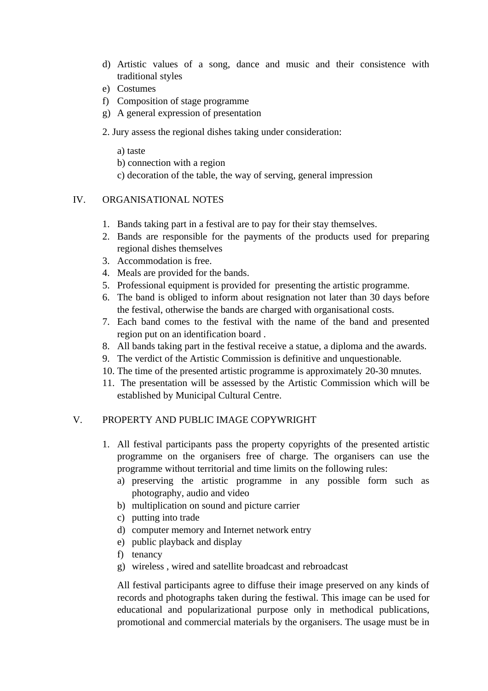- d) Artistic values of a song, dance and music and their consistence with traditional styles
- e) Costumes
- f) Composition of stage programme
- g) A general expression of presentation
- 2. Jury assess the regional dishes taking under consideration:
	- a) taste
	- b) connection with a region
	- c) decoration of the table, the way of serving, general impression

#### IV. ORGANISATIONAL NOTES

- 1. Bands taking part in a festival are to pay for their stay themselves.
- 2. Bands are responsible for the payments of the products used for preparing regional dishes themselves
- 3. Accommodation is free.
- 4. Meals are provided for the bands.
- 5. Professional equipment is provided for presenting the artistic programme.
- 6. The band is obliged to inform about resignation not later than 30 days before the festival, otherwise the bands are charged with organisational costs.
- 7. Each band comes to the festival with the name of the band and presented region put on an identification board .
- 8. All bands taking part in the festival receive a statue, a diploma and the awards.
- 9. The verdict of the Artistic Commission is definitive and unquestionable.
- 10. The time of the presented artistic programme is approximately 20-30 mnutes.
- 11. The presentation will be assessed by the Artistic Commission which will be established by Municipal Cultural Centre.

#### V. PROPERTY AND PUBLIC IMAGE COPYWRIGHT

- 1. All festival participants pass the property copyrights of the presented artistic programme on the organisers free of charge. The organisers can use the programme without territorial and time limits on the following rules:
	- a) preserving the artistic programme in any possible form such as photography, audio and video
	- b) multiplication on sound and picture carrier
	- c) putting into trade
	- d) computer memory and Internet network entry
	- e) public playback and display
	- f) tenancy
	- g) wireless , wired and satellite broadcast and rebroadcast

All festival participants agree to diffuse their image preserved on any kinds of records and photographs taken during the festiwal. This image can be used for educational and popularizational purpose only in methodical publications, promotional and commercial materials by the organisers. The usage must be in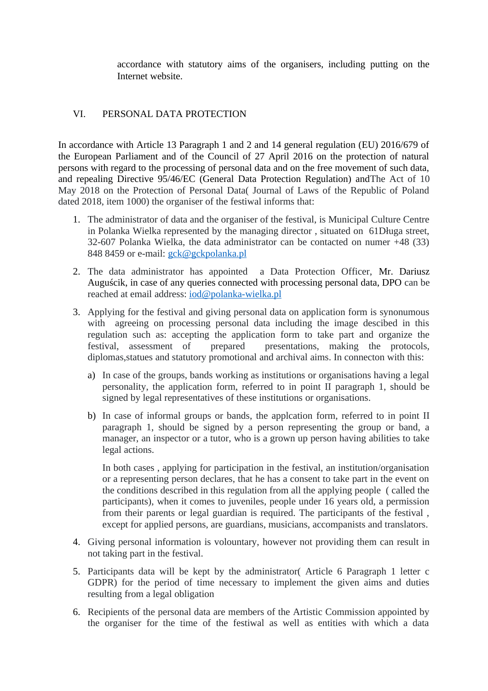accordance with statutory aims of the organisers, including putting on the Internet website.

## VI. PERSONAL DATA PROTECTION

In accordance with Article 13 Paragraph 1 and 2 and 14 general regulation (EU) 2016/679 of the European Parliament and of the Council of 27 April 2016 on the protection of natural persons with regard to the processing of personal data and on the free movement of such data, and repealing Directive 95/46/EC (General Data Protection Regulation) andThe Act of 10 May 2018 on the Protection of Personal Data( Journal of Laws of the Republic of Poland dated 2018, item 1000) the organiser of the festiwal informs that:

- 1. The administrator of data and the organiser of the festival, is Municipal Culture Centre in Polanka Wielka represented by the managing director , situated on 61Długa street, 32-607 Polanka Wielka, the data administrator can be contacted on numer +48 (33) 848 8459 or e-mail: [gck@gckpolanka.pl](mailto:gck@gckpolanka.pl)
- 2. The data administrator has appointed a Data Protection Officer, Mr. Dariusz Auguścik, in case of any queries connected with processing personal data, DPO can be reached at email address: [iod@polanka-wielka.pl](mailto:iod@polanka-wielka.pl)
- 3. Applying for the festival and giving personal data on application form is synonumous with agreeing on processing personal data including the image descibed in this regulation such as: accepting the application form to take part and organize the festival, assessment of prepared presentations, making the protocols, diplomas,statues and statutory promotional and archival aims. In connecton with this:
	- a) In case of the groups, bands working as institutions or organisations having a legal personality, the application form, referred to in point II paragraph 1, should be signed by legal representatives of these institutions or organisations.
	- b) In case of informal groups or bands, the applcation form, referred to in point II paragraph 1, should be signed by a person representing the group or band, a manager, an inspector or a tutor, who is a grown up person having abilities to take legal actions.

In both cases , applying for participation in the festival, an institution/organisation or a representing person declares, that he has a consent to take part in the event on the conditions described in this regulation from all the applying people ( called the participants), when it comes to juveniles, people under 16 years old, a permission from their parents or legal guardian is required. The participants of the festival , except for applied persons, are guardians, musicians, accompanists and translators.

- 4. Giving personal information is volountary, however not providing them can result in not taking part in the festival.
- 5. Participants data will be kept by the administrator( Article 6 Paragraph 1 letter c GDPR) for the period of time necessary to implement the given aims and duties resulting from a legal obligation
- 6. Recipients of the personal data are members of the Artistic Commission appointed by the organiser for the time of the festiwal as well as entities with which a data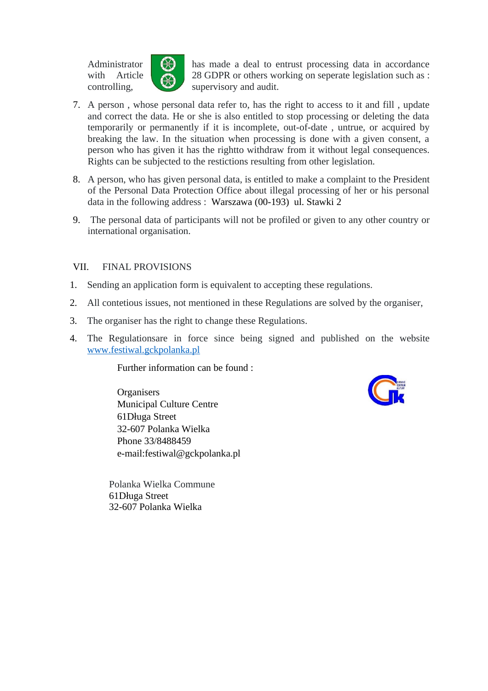

Administrator  $\left\| \left( \begin{matrix} 1 \\ 1 \end{matrix} \right)\right\|$  has made a deal to entrust processing data in accordance with Article 28 GDPR or others working on seperate legislation such as : controlling, supervisory and audit.

- 7. A person , whose personal data refer to, has the right to access to it and fill , update and correct the data. He or she is also entitled to stop processing or deleting the data temporarily or permanently if it is incomplete, out-of-date , untrue, or acquired by breaking the law. In the situation when processing is done with a given consent, a person who has given it has the rightto withdraw from it without legal consequences. Rights can be subjected to the restictions resulting from other legislation.
- 8. A person, who has given personal data, is entitled to make a complaint to the President of the Personal Data Protection Office about illegal processing of her or his personal data in the following address : Warszawa (00-193) ul. Stawki 2
- 9. The personal data of participants will not be profiled or given to any other country or international organisation.

#### VII. FINAL PROVISIONS

- 1. Sending an application form is equivalent to accepting these regulations.
- 2. All contetious issues, not mentioned in these Regulations are solved by the organiser,
- 3. The organiser has the right to change these Regulations.
- 4. The Regulationsare in force since being signed and published on the website [www.festiwal.gckpolanka.pl](http://www.festiwal.gckpolanka.pl/)

Further information can be found :

**Organisers** Municipal Culture Centre 61Długa Street 32-607 Polanka Wielka Phone 33/8488459 e-mail:festiwal@gckpolanka.pl



Polanka Wielka Commune 61Długa Street 32-607 Polanka Wielka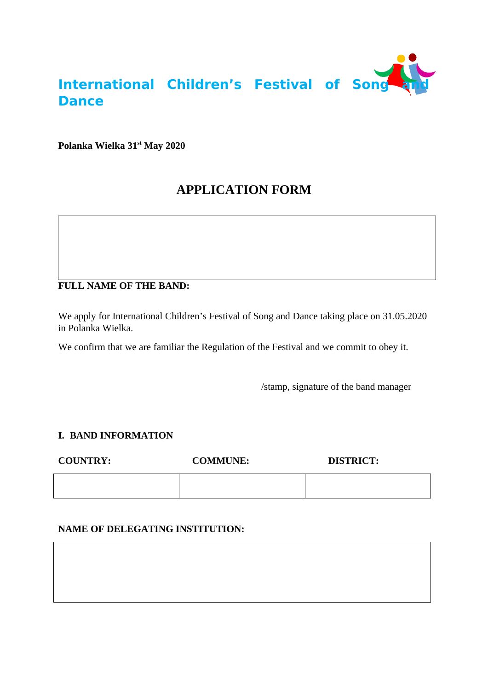

**Polanka Wielka 31st May 2020**

# **APPLICATION FORM**

# **FULL NAME OF THE BAND:**

We apply for International Children's Festival of Song and Dance taking place on 31.05.2020 in Polanka Wielka.

We confirm that we are familiar the Regulation of the Festival and we commit to obey it.

/stamp, signature of the band manager

#### **I. BAND INFORMATION**

**COUNTRY: COMMUNE: DISTRICT:**

# **NAME OF DELEGATING INSTITUTION:**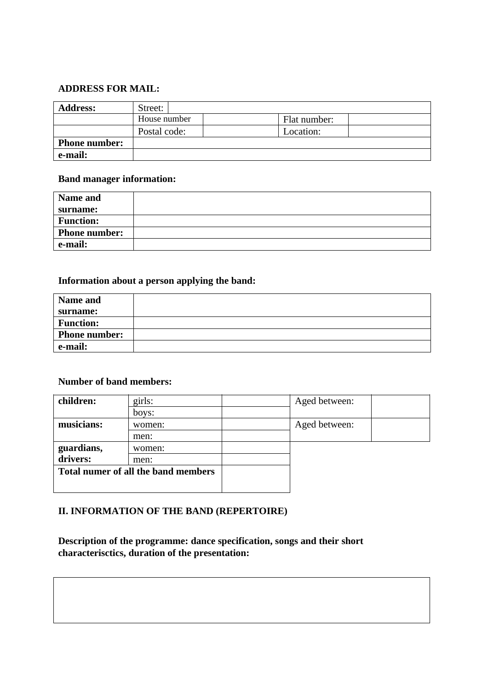#### **ADDRESS FOR MAIL:**

| <b>Address:</b>      | Street:                      |           |  |
|----------------------|------------------------------|-----------|--|
|                      | House number<br>Flat number: |           |  |
|                      | Postal code:                 | Location: |  |
| <b>Phone number:</b> |                              |           |  |
| e-mail:              |                              |           |  |

### **Band manager information:**

| Name and             |  |
|----------------------|--|
| surname:             |  |
| <b>Function:</b>     |  |
| <b>Phone number:</b> |  |
| e-mail:              |  |

# **Information about a person applying the band:**

| Name and             |  |
|----------------------|--|
| surname:             |  |
| <b>Function:</b>     |  |
| <b>Phone number:</b> |  |
| e-mail:              |  |

#### **Number of band members:**

| children:                           | girls: | Aged between: |  |
|-------------------------------------|--------|---------------|--|
|                                     | boys:  |               |  |
| musicians:                          | women: | Aged between: |  |
|                                     | men:   |               |  |
| guardians,                          | women: |               |  |
| drivers:                            | men:   |               |  |
| Total numer of all the band members |        |               |  |
|                                     |        |               |  |

# **II. INFORMATION OF THE BAND (REPERTOIRE)**

**Description of the programme: dance specification, songs and their short characterisctics, duration of the presentation:**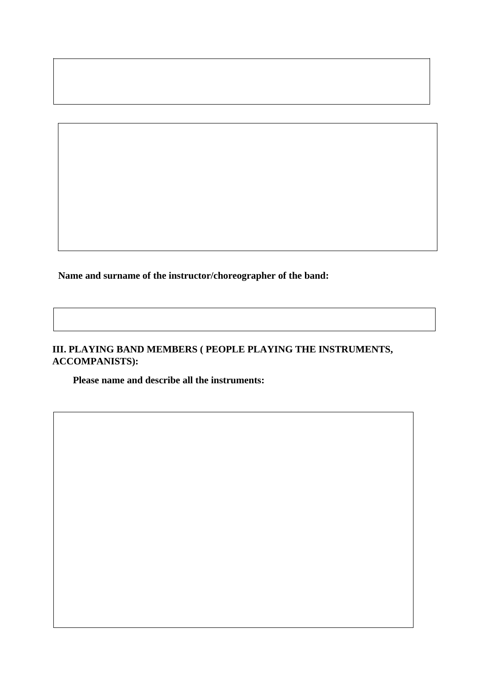**Name and surname of the instructor/choreographer of the band:**

# **III. PLAYING BAND MEMBERS ( PEOPLE PLAYING THE INSTRUMENTS, ACCOMPANISTS):**

**Please name and describe all the instruments:**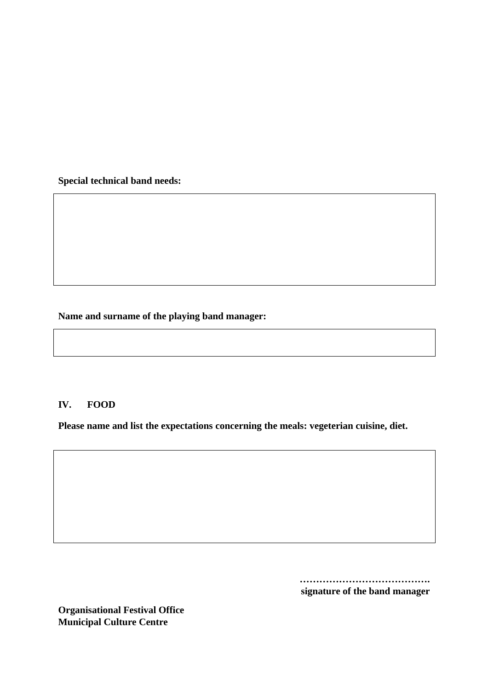**Special technical band needs:**

**Name and surname of the playing band manager:**

#### **IV. FOOD**

**Please name and list the expectations concerning the meals: vegeterian cuisine, diet.**

**…………………………………. signature of the band manager**

**Organisational Festival Office Municipal Culture Centre**